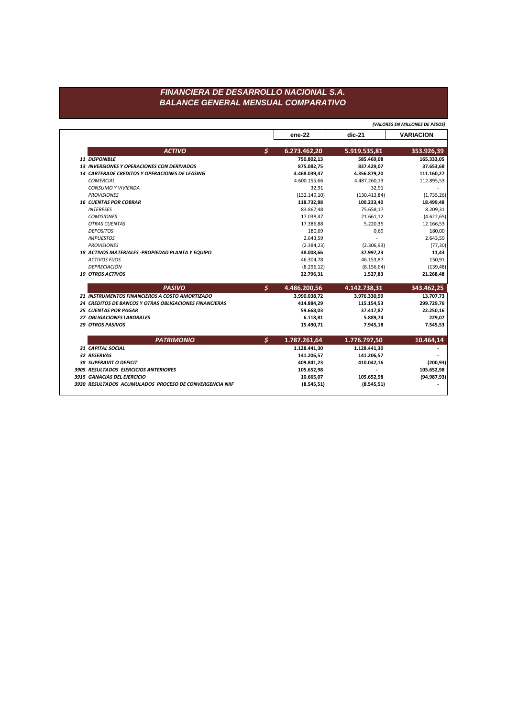## FINANCIERA DE DESARROLLO NACIONAL S.A. **BALANCE GENERAL MENSUAL COMPARATIVO**

(VALORES EN MILLONES DE PESOS)

|                                                         |               | ene-22        | $dic-21$      | <b>VARIACION</b> |
|---------------------------------------------------------|---------------|---------------|---------------|------------------|
|                                                         |               |               |               |                  |
| <b>ACTIVO</b>                                           | \$            | 6.273.462,20  | 5.919.535,81  | 353.926,39       |
| 11 DISPONIBLE                                           |               | 750.802,13    | 585.469,08    | 165.333,05       |
| <b>13 INVERSIONES Y OPERACIONES CON DERIVADOS</b>       |               | 875.082,75    | 837.429,07    | 37.653,68        |
| 14 CARTERADE CREDITOS Y OPERACIONES DE LEASING          |               | 4.468.039,47  | 4.356.879,20  | 111.160,27       |
| COMERCIAL                                               |               | 4.600.155,66  | 4.487.260,13  | 112.895,53       |
| <b>CONSUMO Y VIVIENDA</b>                               |               | 32,91         | 32,91         |                  |
| <b>PROVISIONES</b>                                      |               | (132.149, 10) | (130.413, 84) | (1.735, 26)      |
| <b>16 CUENTAS POR COBRAR</b>                            |               | 118.732,88    | 100.233,40    | 18.499,48        |
| <b>INTERESES</b>                                        |               | 83.867,48     | 75.658,17     | 8.209,31         |
| <b>COMISIONES</b>                                       |               | 17.038,47     | 21.661,12     | (4.622, 65)      |
| <b>OTRAS CUENTAS</b>                                    |               | 17.386,88     | 5.220,35      | 12.166,53        |
| <b>DEPOSITOS</b>                                        |               | 180,69        | 0,69          | 180,00           |
| <b>IMPUESTOS</b>                                        |               | 2.643,59      |               | 2.643,59         |
| <b>PROVISIONES</b>                                      |               | (2.384, 23)   | (2.306, 93)   | (77, 30)         |
| 18 ACTIVOS MATERIALES - PROPIEDAD PLANTA Y EQUIPO       |               | 38.008,66     | 37.997,23     | 11,43            |
| <b>ACTIVOS FIJOS</b>                                    |               | 46.304,78     | 46.153,87     | 150,91           |
| DEPRECIACIÓN                                            |               | (8.296, 12)   | (8.156, 64)   | (139, 48)        |
| <b>19 OTROS ACTIVOS</b>                                 |               | 22.796,31     | 1.527,83      | 21.268,48        |
| <b>PASIVO</b>                                           | $\mathcal{S}$ | 4.486.200,56  | 4.142.738,31  | 343.462,25       |
| 21 INSTRUMENTOS FINANCIEROS A COSTO AMORTIZADO          |               | 3.990.038,72  | 3.976.330,99  | 13.707,73        |
| 24 CREDITOS DE BANCOS Y OTRAS OBLIGACIONES FINANCIERAS  |               | 414.884,29    | 115.154,53    | 299.729,76       |
| <b>25 CUENTAS POR PAGAR</b>                             |               | 59.668,03     | 37.417,87     | 22.250,16        |
| 27 OBLIGACIONES LABORALES                               |               | 6.118,81      | 5.889,74      | 229,07           |
| <b>29 OTROS PASIVOS</b>                                 |               | 15.490,71     | 7.945,18      | 7.545,53         |
| <b>PATRIMONIO</b>                                       | \$            | 1.787.261,64  | 1.776.797,50  | 10.464,14        |
| 31 CAPITAL SOCIAL                                       |               | 1.128.441,30  | 1.128.441,30  |                  |
| 32 RESERVAS                                             |               | 141.206,57    | 141.206,57    |                  |
| <b>38 SUPERAVIT O DEFICIT</b>                           |               | 409.841,23    | 410.042,16    | (200, 93)        |
| 3905 RESULTADOS EJERCICIOS ANTERIORES                   |               | 105.652,98    |               | 105.652,98       |
| 3915 GANACIAS DEL EJERCICIO                             |               | 10.665,07     | 105.652,98    | (94.987, 93)     |
| 3930 RESULTADOS ACUMULADOS PROCESO DE CONVERGENCIA NIIF |               | (8.545, 51)   | (8.545, 51)   |                  |